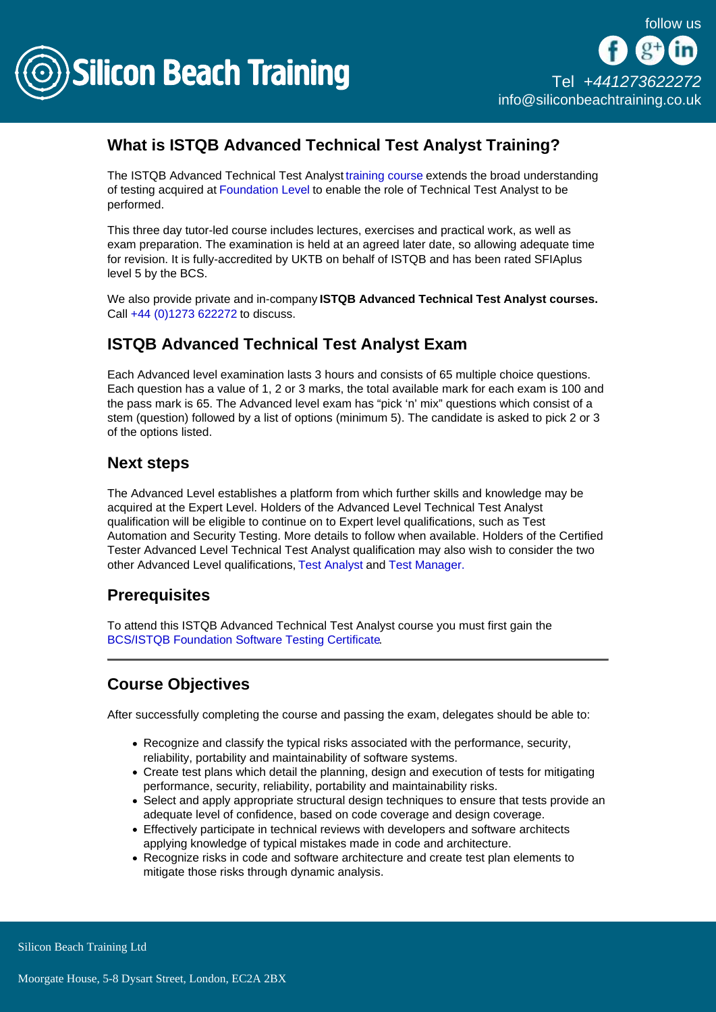

## What is ISTQB Advanced Technical Test Analyst Training?

The ISTQB Advanced Technical Test Analyst [training course](/software-testing-training) extends the broad understanding of testing acquired at [Foundation Level](/software-testing-training/istqb-bcs-foundation-software-testing-training) to enable the role of Technical Test Analyst to be performed.

This three day tutor-led course includes lectures, exercises and practical work, as well as exam preparation. The examination is held at an agreed later date, so allowing adequate time for revision. It is fully-accredited by UKTB on behalf of ISTQB and has been rated SFIAplus level 5 by the BCS.

We also provide private and in-company ISTQB Advanced Technical Test Analyst courses. Call [+44 \(0\)1273 622272](tel:441273622272) to discuss.

## ISTQB Advanced Technical Test Analyst Exam

Each Advanced level examination lasts 3 hours and consists of 65 multiple choice questions. Each question has a value of 1, 2 or 3 marks, the total available mark for each exam is 100 and the pass mark is 65. The Advanced level exam has "pick 'n' mix" questions which consist of a stem (question) followed by a list of options (minimum 5). The candidate is asked to pick 2 or 3 of the options listed.

#### Next steps

The Advanced Level establishes a platform from which further skills and knowledge may be acquired at the Expert Level. Holders of the Advanced Level Technical Test Analyst qualification will be eligible to continue on to Expert level qualifications, such as Test Automation and Security Testing. More details to follow when available. Holders of the Certified Tester Advanced Level Technical Test Analyst qualification may also wish to consider the two other Advanced Level qualifications, [Test Analyst](/software-testing-training/istqb-advanced-test-analyst-training) and [Test Manager.](/software-testing-training/istqb-advanced-test-manager-training)

#### **Prerequisites**

To attend this ISTQB Advanced Technical Test Analyst course you must first gain the [BCS/ISTQB Foundation Software Testing Certificate](http://siliconbeachtraining.co.uk/software-testing-training/istqb-bcs-foundation-software-testing-training).

### Course Objectives

After successfully completing the course and passing the exam, delegates should be able to:

- Recognize and classify the typical risks associated with the performance, security, reliability, portability and maintainability of software systems.
- Create test plans which detail the planning, design and execution of tests for mitigating performance, security, reliability, portability and maintainability risks.
- Select and apply appropriate structural design techniques to ensure that tests provide an adequate level of confidence, based on code coverage and design coverage.
- Effectively participate in technical reviews with developers and software architects applying knowledge of typical mistakes made in code and architecture.
- Recognize risks in code and software architecture and create test plan elements to mitigate those risks through dynamic analysis.

Silicon Beach Training Ltd